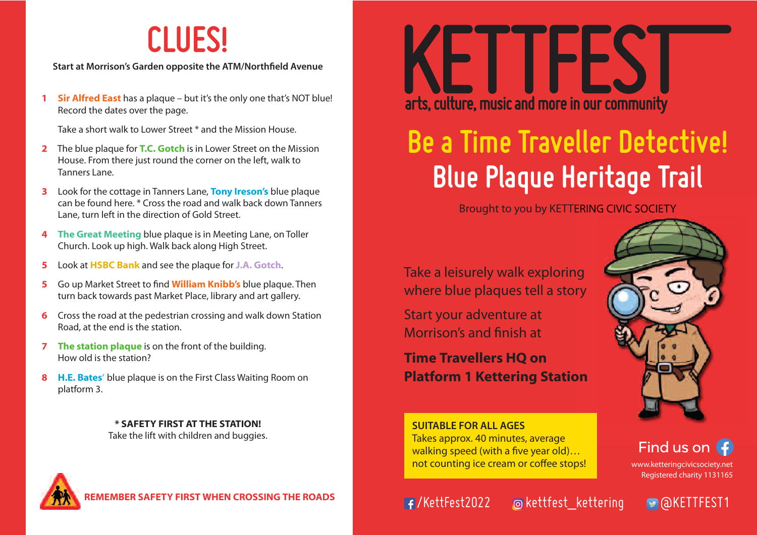## **CLUES!**

**Start at Morrison's Garden opposite the ATM/Northfield Avenue**

**1 Sir Alfred East** has a plaque – but it's the only one that's NOT blue! Record the dates over the page.

Take a short walk to Lower Street \* and the Mission House.

- **2** The blue plaque for **T.C. Gotch** is in Lower Street on the Mission House. From there just round the corner on the left, walk to Tanners Lane.
- **3** Look for the cottage in Tanners Lane, **Tony Ireson's** blue plaque can be found here. \* Cross the road and walk back down Tanners Lane, turn left in the direction of Gold Street.
- **4 The Great Meeting** blue plaque is in Meeting Lane, on Toller Church. Look up high. Walk back along High Street.
- **5** Look at **HSBC Bank** and see the plaque for **J.A. Gotch**.
- **5** Go up Market Street to find **William Knibb's** blue plaque. Then turn back towards past Market Place, library and art gallery.
- **6** Cross the road at the pedestrian crossing and walk down Station Road, at the end is the station.
- **7 The station plaque** is on the front of the building. How old is the station?
- **8 H.E. Bates'** blue plaque is on the First Class Waiting Room on platform 3.

**\* SAFETY FIRST AT THE STATION!** Take the lift with children and buggies. **SUITABLE FOR ALL AGES**



#### **REMBER SAFETY FIRST WHEN CROSSING THE ROADS YOU FAIL THE POST OF A FILE AND RESERVE THE ROADS**

# arts, culture, music and more in our community

## **Blue Plaque Heritage Trail Be a Time Traveller Detective!**

Brought to you by KETTERING CIVIC SOCIETY

Take a leisurely walk exploring where blue plaques tell a story

Start your adventure at Morrison's and finish at

**Time Travellers HQ on Platform 1 Kettering Station**

Takes approx. 40 minutes, average walking speed (with a five year old)... not counting ice cream or coffee stops!



Find us on  $\bigoplus$ 

www.ketteringcivicsociety.net Registered charity 1131165